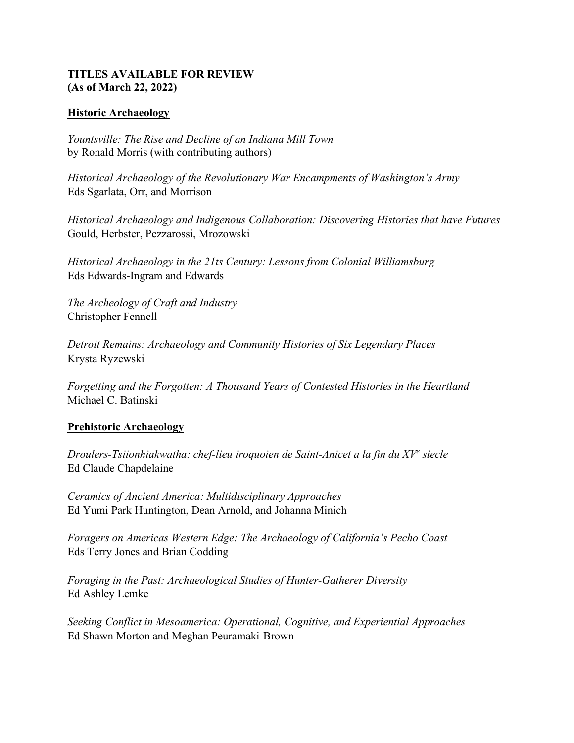### **TITLES AVAILABLE FOR REVIEW (As of March 22, 2022)**

### **Historic Archaeology**

*Yountsville: The Rise and Decline of an Indiana Mill Town*  by Ronald Morris (with contributing authors)

*Historical Archaeology of the Revolutionary War Encampments of Washington's Army*  Eds Sgarlata, Orr, and Morrison

*Historical Archaeology and Indigenous Collaboration: Discovering Histories that have Futures*  Gould, Herbster, Pezzarossi, Mrozowski

*Historical Archaeology in the 21ts Century: Lessons from Colonial Williamsburg*  Eds Edwards-Ingram and Edwards

*The Archeology of Craft and Industry*  Christopher Fennell

*Detroit Remains: Archaeology and Community Histories of Six Legendary Places*  Krysta Ryzewski

*Forgetting and the Forgotten: A Thousand Years of Contested Histories in the Heartland*  Michael C. Batinski

# **Prehistoric Archaeology**

*Droulers-Tsiionhiakwatha: chef-lieu iroquoien de Saint-Anicet a la fin du XVe siecle* Ed Claude Chapdelaine

*Ceramics of Ancient America: Multidisciplinary Approaches*  Ed Yumi Park Huntington, Dean Arnold, and Johanna Minic[h](https://recherches-amerindiennes.qc.ca/site/produit/habitation-imaginaires-realites-autochtones-2017-vol-47-no-1)

*Foragers on Americas Western Edge: The Archaeology of California's Pecho Coast*  Eds Terry Jones and Brian Codding

*Foraging in the Past: Archaeological Studies of Hunter-Gatherer Diversity* Ed Ashley Lemke

*Seeking Conflict in Mesoamerica: Operational, Cognitive, and Experiential Approaches*  Ed Shawn Morton and Meghan Peuramaki-Brown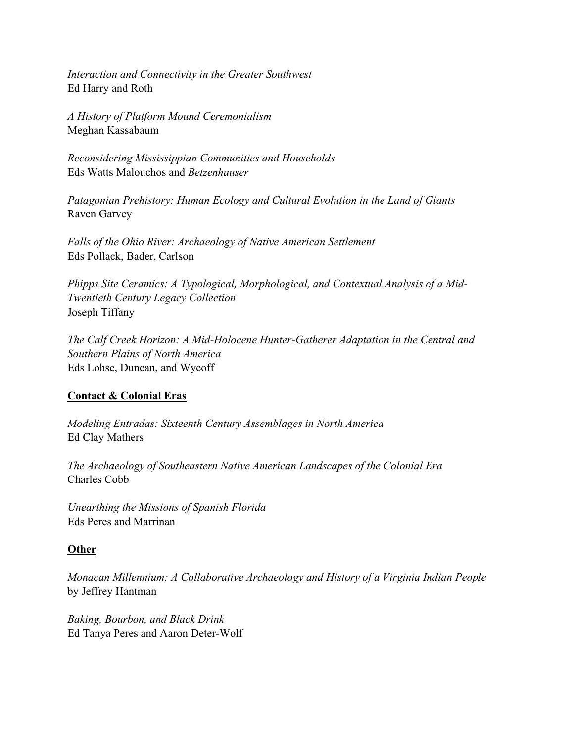*Interaction and Connectivity in the Greater Southwest*  Ed Harry and Roth

*A History of Platform Mound Ceremonialism*  Meghan Kassabaum

*Reconsidering Mississippian Communities and Households*  Eds Watts Malouchos and *Betzenhauser* 

*Patagonian Prehistory: Human Ecology and Cultural Evolution in the Land of Giants*  Raven Garvey

*Falls of the Ohio River: Archaeology of Native American Settlement*  Eds Pollack, Bader, Carlson

*Phipps Site Ceramics: A Typological, Morphological, and Contextual Analysis of a Mid-Twentieth Century Legacy Collection* Joseph Tiffany

*The Calf Creek Horizon: A Mid-Holocene Hunter-Gatherer Adaptation in the Central and Southern Plains of North America* Eds Lohse, Duncan, and Wycoff

# **Contact & Colonial Eras**

*Modeling Entradas: Sixteenth Century Assemblages in North America*  Ed Clay Mathers

*The Archaeology of Southeastern Native American Landscapes of the Colonial Era*  Charles Cobb

*Unearthing the Missions of Spanish Florida*  Eds Peres and Marrinan

# **Other**

*Monacan Millennium: A Collaborative Archaeology and History of a Virginia Indian People*  by Jeffrey Hantman

*Baking, Bourbon, and Black Drink*  Ed Tanya Peres and Aaron Deter-Wolf